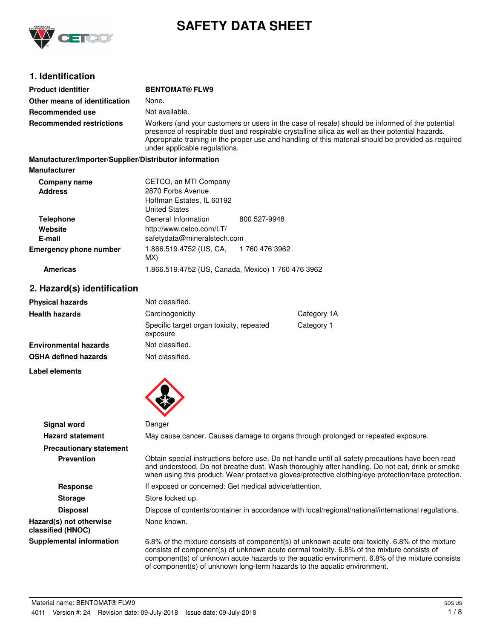

# **SAFETY DATA SHEET**

# **1. Identification**

| <b>Product identifier</b>                              | <b>BENTOMAT® FLW9</b>                                                                                                                                                                                                                                                                                                                        |              |
|--------------------------------------------------------|----------------------------------------------------------------------------------------------------------------------------------------------------------------------------------------------------------------------------------------------------------------------------------------------------------------------------------------------|--------------|
| Other means of identification                          | None.                                                                                                                                                                                                                                                                                                                                        |              |
| Recommended use                                        | Not available.                                                                                                                                                                                                                                                                                                                               |              |
| <b>Recommended restrictions</b>                        | Workers (and your customers or users in the case of resale) should be informed of the potential<br>presence of respirable dust and respirable crystalline silica as well as their potential hazards.<br>Appropriate training in the proper use and handling of this material should be provided as required<br>under applicable regulations. |              |
| Manufacturer/Importer/Supplier/Distributor information |                                                                                                                                                                                                                                                                                                                                              |              |
| <b>Manufacturer</b>                                    |                                                                                                                                                                                                                                                                                                                                              |              |
| Company name                                           | CETCO, an MTI Company                                                                                                                                                                                                                                                                                                                        |              |
| <b>Address</b>                                         | 2870 Forbs Avenue                                                                                                                                                                                                                                                                                                                            |              |
|                                                        | Hoffman Estates, IL 60192                                                                                                                                                                                                                                                                                                                    |              |
|                                                        | <b>United States</b>                                                                                                                                                                                                                                                                                                                         |              |
| <b>Telephone</b>                                       | General Information                                                                                                                                                                                                                                                                                                                          | 800 527-9948 |
|                                                        |                                                                                                                                                                                                                                                                                                                                              |              |

| <b>Telephone</b>              | General Information                           | 800 527-9948                                       |
|-------------------------------|-----------------------------------------------|----------------------------------------------------|
| Website                       | http://www.cetco.com/LT/                      |                                                    |
| E-mail                        | safetydata@mineralstech.com                   |                                                    |
| <b>Emergency phone number</b> | 1.866.519.4752 (US, CA, 1760 476 3962)<br>MX) |                                                    |
| <b>Americas</b>               |                                               | 1.866.519.4752 (US, Canada, Mexico) 1 760 476 3962 |

# **2. Hazard(s) identification**

| <b>Physical hazards</b>      | Not classified.                                      |             |
|------------------------------|------------------------------------------------------|-------------|
| <b>Health hazards</b>        | Carcinogenicity                                      | Category 1A |
|                              | Specific target organ toxicity, repeated<br>exposure | Category 1  |
| <b>Environmental hazards</b> | Not classified.                                      |             |
| <b>OSHA defined hazards</b>  | Not classified.                                      |             |

**Label elements**



| Signal word                                  | Danger                                                                                                                                                                                                                                                                                                                                                                       |
|----------------------------------------------|------------------------------------------------------------------------------------------------------------------------------------------------------------------------------------------------------------------------------------------------------------------------------------------------------------------------------------------------------------------------------|
| <b>Hazard statement</b>                      | May cause cancer. Causes damage to organs through prolonged or repeated exposure.                                                                                                                                                                                                                                                                                            |
| <b>Precautionary statement</b>               |                                                                                                                                                                                                                                                                                                                                                                              |
| <b>Prevention</b>                            | Obtain special instructions before use. Do not handle until all safety precautions have been read<br>and understood. Do not breathe dust. Wash thoroughly after handling. Do not eat, drink or smoke<br>when using this product. Wear protective gloves/protective clothing/eye protection/face protection.                                                                  |
| Response                                     | If exposed or concerned: Get medical advice/attention.                                                                                                                                                                                                                                                                                                                       |
| <b>Storage</b>                               | Store locked up.                                                                                                                                                                                                                                                                                                                                                             |
| <b>Disposal</b>                              | Dispose of contents/container in accordance with local/regional/national/international regulations.                                                                                                                                                                                                                                                                          |
| Hazard(s) not otherwise<br>classified (HNOC) | None known.                                                                                                                                                                                                                                                                                                                                                                  |
| <b>Supplemental information</b>              | 6.8% of the mixture consists of component(s) of unknown acute oral toxicity. 6.8% of the mixture<br>consists of component(s) of unknown acute dermal toxicity. 6.8% of the mixture consists of<br>component(s) of unknown acute hazards to the aquatic environment. 6.8% of the mixture consists<br>of component(s) of unknown long-term hazards to the aquatic environment. |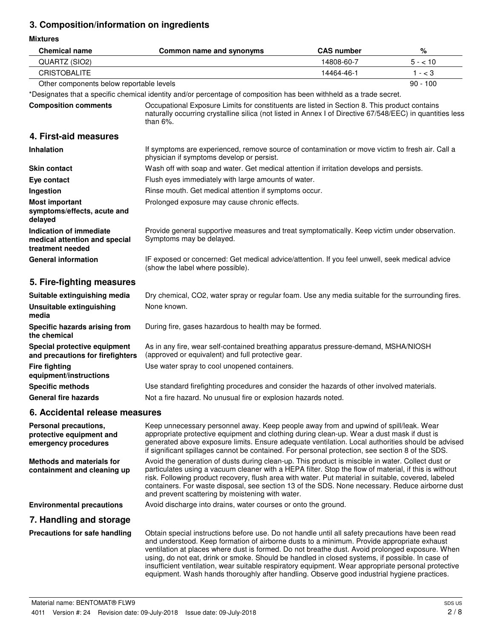# **3. Composition/information on ingredients**

**Mixtures**

| <b>Chemical name</b>                                                         | Common name and synonyms                                                                                                                                                                                                                                                                                                                                                                                                                                                                                                                                                                                    | <b>CAS number</b> | $\%$       |
|------------------------------------------------------------------------------|-------------------------------------------------------------------------------------------------------------------------------------------------------------------------------------------------------------------------------------------------------------------------------------------------------------------------------------------------------------------------------------------------------------------------------------------------------------------------------------------------------------------------------------------------------------------------------------------------------------|-------------------|------------|
| QUARTZ (SIO2)                                                                | 14808-60-7                                                                                                                                                                                                                                                                                                                                                                                                                                                                                                                                                                                                  |                   | $5 - 10$   |
| <b>CRISTOBALITE</b>                                                          |                                                                                                                                                                                                                                                                                                                                                                                                                                                                                                                                                                                                             | 14464-46-1        | $1 - < 3$  |
| Other components below reportable levels                                     |                                                                                                                                                                                                                                                                                                                                                                                                                                                                                                                                                                                                             |                   | $90 - 100$ |
|                                                                              | *Designates that a specific chemical identity and/or percentage of composition has been withheld as a trade secret.                                                                                                                                                                                                                                                                                                                                                                                                                                                                                         |                   |            |
| <b>Composition comments</b>                                                  | Occupational Exposure Limits for constituents are listed in Section 8. This product contains<br>naturally occurring crystalline silica (not listed in Annex I of Directive 67/548/EEC) in quantities less<br>than $6\%$ .                                                                                                                                                                                                                                                                                                                                                                                   |                   |            |
| 4. First-aid measures                                                        |                                                                                                                                                                                                                                                                                                                                                                                                                                                                                                                                                                                                             |                   |            |
| Inhalation                                                                   | If symptoms are experienced, remove source of contamination or move victim to fresh air. Call a<br>physician if symptoms develop or persist.                                                                                                                                                                                                                                                                                                                                                                                                                                                                |                   |            |
| <b>Skin contact</b>                                                          | Wash off with soap and water. Get medical attention if irritation develops and persists.                                                                                                                                                                                                                                                                                                                                                                                                                                                                                                                    |                   |            |
| Eye contact                                                                  | Flush eyes immediately with large amounts of water.                                                                                                                                                                                                                                                                                                                                                                                                                                                                                                                                                         |                   |            |
| Ingestion                                                                    | Rinse mouth. Get medical attention if symptoms occur.                                                                                                                                                                                                                                                                                                                                                                                                                                                                                                                                                       |                   |            |
| <b>Most important</b><br>symptoms/effects, acute and<br>delayed              | Prolonged exposure may cause chronic effects.                                                                                                                                                                                                                                                                                                                                                                                                                                                                                                                                                               |                   |            |
| Indication of immediate<br>medical attention and special<br>treatment needed | Provide general supportive measures and treat symptomatically. Keep victim under observation.<br>Symptoms may be delayed.                                                                                                                                                                                                                                                                                                                                                                                                                                                                                   |                   |            |
| <b>General information</b>                                                   | IF exposed or concerned: Get medical advice/attention. If you feel unwell, seek medical advice<br>(show the label where possible).                                                                                                                                                                                                                                                                                                                                                                                                                                                                          |                   |            |
| 5. Fire-fighting measures                                                    |                                                                                                                                                                                                                                                                                                                                                                                                                                                                                                                                                                                                             |                   |            |
| Suitable extinguishing media                                                 | Dry chemical, CO2, water spray or regular foam. Use any media suitable for the surrounding fires.                                                                                                                                                                                                                                                                                                                                                                                                                                                                                                           |                   |            |
| <b>Unsuitable extinguishing</b><br>media                                     | None known.                                                                                                                                                                                                                                                                                                                                                                                                                                                                                                                                                                                                 |                   |            |
| Specific hazards arising from<br>the chemical                                | During fire, gases hazardous to health may be formed.                                                                                                                                                                                                                                                                                                                                                                                                                                                                                                                                                       |                   |            |
| Special protective equipment<br>and precautions for firefighters             | As in any fire, wear self-contained breathing apparatus pressure-demand, MSHA/NIOSH<br>(approved or equivalent) and full protective gear.                                                                                                                                                                                                                                                                                                                                                                                                                                                                   |                   |            |
| <b>Fire fighting</b><br>equipment/instructions                               | Use water spray to cool unopened containers.                                                                                                                                                                                                                                                                                                                                                                                                                                                                                                                                                                |                   |            |
| <b>Specific methods</b>                                                      | Use standard firefighting procedures and consider the hazards of other involved materials.                                                                                                                                                                                                                                                                                                                                                                                                                                                                                                                  |                   |            |
| <b>General fire hazards</b>                                                  | Not a fire hazard. No unusual fire or explosion hazards noted.                                                                                                                                                                                                                                                                                                                                                                                                                                                                                                                                              |                   |            |
| 6. Accidental release measures                                               |                                                                                                                                                                                                                                                                                                                                                                                                                                                                                                                                                                                                             |                   |            |
| Personal precautions,<br>protective equipment and<br>emergency procedures    | Keep unnecessary personnel away. Keep people away from and upwind of spill/leak. Wear<br>appropriate protective equipment and clothing during clean-up. Wear a dust mask if dust is<br>generated above exposure limits. Ensure adequate ventilation. Local authorities should be advised<br>if significant spillages cannot be contained. For personal protection, see section 8 of the SDS.                                                                                                                                                                                                                |                   |            |
| <b>Methods and materials for</b><br>containment and cleaning up              | Avoid the generation of dusts during clean-up. This product is miscible in water. Collect dust or<br>particulates using a vacuum cleaner with a HEPA filter. Stop the flow of material, if this is without<br>risk. Following product recovery, flush area with water. Put material in suitable, covered, labeled<br>containers. For waste disposal, see section 13 of the SDS. None necessary. Reduce airborne dust<br>and prevent scattering by moistening with water.                                                                                                                                    |                   |            |
| <b>Environmental precautions</b>                                             | Avoid discharge into drains, water courses or onto the ground.                                                                                                                                                                                                                                                                                                                                                                                                                                                                                                                                              |                   |            |
| 7. Handling and storage                                                      |                                                                                                                                                                                                                                                                                                                                                                                                                                                                                                                                                                                                             |                   |            |
| Precautions for safe handling                                                | Obtain special instructions before use. Do not handle until all safety precautions have been read<br>and understood. Keep formation of airborne dusts to a minimum. Provide appropriate exhaust<br>ventilation at places where dust is formed. Do not breathe dust. Avoid prolonged exposure. When<br>using, do not eat, drink or smoke. Should be handled in closed systems, if possible. In case of<br>insufficient ventilation, wear suitable respiratory equipment. Wear appropriate personal protective<br>equipment. Wash hands thoroughly after handling. Observe good industrial hygiene practices. |                   |            |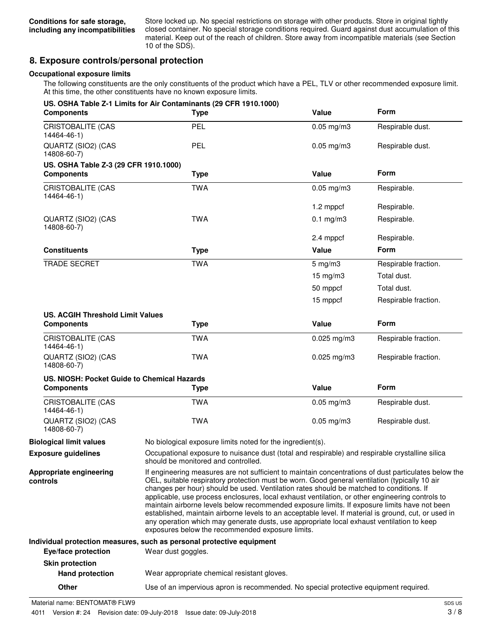Store locked up. No special restrictions on storage with other products. Store in original tightly closed container. No special storage conditions required. Guard against dust accumulation of this material. Keep out of the reach of children. Store away from incompatible materials (see Section 10 of the SDS).

# **8. Exposure controls/personal protection**

### **Occupational exposure limits**

The following constituents are the only constituents of the product which have a PEL, TLV or other recommended exposure limit. At this time, the other constituents have no known exposure limits.

| <b>Components</b>                           | US. OSHA Table Z-1 Limits for Air Contaminants (29 CFR 1910.1000)<br><b>Type</b>                                                                                                                                                                                                                                                                                                                                                                                                                                                                                                                                                                                                                                                                             | Value               | <b>Form</b>          |
|---------------------------------------------|--------------------------------------------------------------------------------------------------------------------------------------------------------------------------------------------------------------------------------------------------------------------------------------------------------------------------------------------------------------------------------------------------------------------------------------------------------------------------------------------------------------------------------------------------------------------------------------------------------------------------------------------------------------------------------------------------------------------------------------------------------------|---------------------|----------------------|
| <b>CRISTOBALITE (CAS</b><br>14464-46-1)     | PEL                                                                                                                                                                                                                                                                                                                                                                                                                                                                                                                                                                                                                                                                                                                                                          | $0.05$ mg/m $3$     | Respirable dust.     |
| QUARTZ (SIO2) (CAS<br>14808-60-7)           | <b>PEL</b>                                                                                                                                                                                                                                                                                                                                                                                                                                                                                                                                                                                                                                                                                                                                                   | $0.05$ mg/m $3$     | Respirable dust.     |
| US. OSHA Table Z-3 (29 CFR 1910.1000)       |                                                                                                                                                                                                                                                                                                                                                                                                                                                                                                                                                                                                                                                                                                                                                              |                     |                      |
| <b>Components</b>                           | <b>Type</b>                                                                                                                                                                                                                                                                                                                                                                                                                                                                                                                                                                                                                                                                                                                                                  | Value               | <b>Form</b>          |
| CRISTOBALITE (CAS<br>14464-46-1)            | <b>TWA</b>                                                                                                                                                                                                                                                                                                                                                                                                                                                                                                                                                                                                                                                                                                                                                   | $0.05$ mg/m $3$     | Respirable.          |
|                                             |                                                                                                                                                                                                                                                                                                                                                                                                                                                                                                                                                                                                                                                                                                                                                              | 1.2 mppcf           | Respirable.          |
| QUARTZ (SIO2) (CAS<br>14808-60-7)           | <b>TWA</b>                                                                                                                                                                                                                                                                                                                                                                                                                                                                                                                                                                                                                                                                                                                                                   | $0.1$ mg/m $3$      | Respirable.          |
|                                             |                                                                                                                                                                                                                                                                                                                                                                                                                                                                                                                                                                                                                                                                                                                                                              | 2.4 mppcf           | Respirable.          |
| <b>Constituents</b>                         | <b>Type</b>                                                                                                                                                                                                                                                                                                                                                                                                                                                                                                                                                                                                                                                                                                                                                  | Value               | <b>Form</b>          |
| <b>TRADE SECRET</b>                         | <b>TWA</b>                                                                                                                                                                                                                                                                                                                                                                                                                                                                                                                                                                                                                                                                                                                                                   | $5$ mg/m $3$        | Respirable fraction. |
|                                             |                                                                                                                                                                                                                                                                                                                                                                                                                                                                                                                                                                                                                                                                                                                                                              | $15 \text{ mg/m}$ 3 | Total dust.          |
|                                             |                                                                                                                                                                                                                                                                                                                                                                                                                                                                                                                                                                                                                                                                                                                                                              | 50 mppcf            | Total dust.          |
|                                             |                                                                                                                                                                                                                                                                                                                                                                                                                                                                                                                                                                                                                                                                                                                                                              | 15 mppcf            | Respirable fraction. |
| <b>US. ACGIH Threshold Limit Values</b>     |                                                                                                                                                                                                                                                                                                                                                                                                                                                                                                                                                                                                                                                                                                                                                              |                     |                      |
| <b>Components</b>                           | <b>Type</b>                                                                                                                                                                                                                                                                                                                                                                                                                                                                                                                                                                                                                                                                                                                                                  | Value               | Form                 |
| <b>CRISTOBALITE (CAS</b><br>14464-46-1)     | <b>TWA</b>                                                                                                                                                                                                                                                                                                                                                                                                                                                                                                                                                                                                                                                                                                                                                   | $0.025$ mg/m3       | Respirable fraction. |
| QUARTZ (SIO2) (CAS<br>14808-60-7)           | <b>TWA</b>                                                                                                                                                                                                                                                                                                                                                                                                                                                                                                                                                                                                                                                                                                                                                   | $0.025$ mg/m3       | Respirable fraction. |
| US. NIOSH: Pocket Guide to Chemical Hazards |                                                                                                                                                                                                                                                                                                                                                                                                                                                                                                                                                                                                                                                                                                                                                              |                     |                      |
| <b>Components</b>                           | <b>Type</b>                                                                                                                                                                                                                                                                                                                                                                                                                                                                                                                                                                                                                                                                                                                                                  | Value               | Form                 |
| <b>CRISTOBALITE (CAS</b><br>14464-46-1)     | <b>TWA</b>                                                                                                                                                                                                                                                                                                                                                                                                                                                                                                                                                                                                                                                                                                                                                   | $0.05$ mg/m $3$     | Respirable dust.     |
| QUARTZ (SIO2) (CAS<br>14808-60-7)           | <b>TWA</b>                                                                                                                                                                                                                                                                                                                                                                                                                                                                                                                                                                                                                                                                                                                                                   | $0.05$ mg/m $3$     | Respirable dust.     |
| <b>Biological limit values</b>              | No biological exposure limits noted for the ingredient(s).                                                                                                                                                                                                                                                                                                                                                                                                                                                                                                                                                                                                                                                                                                   |                     |                      |
| <b>Exposure guidelines</b>                  | Occupational exposure to nuisance dust (total and respirable) and respirable crystalline silica<br>should be monitored and controlled.                                                                                                                                                                                                                                                                                                                                                                                                                                                                                                                                                                                                                       |                     |                      |
| Appropriate engineering<br>controls         | If engineering measures are not sufficient to maintain concentrations of dust particulates below the<br>OEL, suitable respiratory protection must be worn. Good general ventilation (typically 10 air<br>changes per hour) should be used. Ventilation rates should be matched to conditions. If<br>applicable, use process enclosures, local exhaust ventilation, or other engineering controls to<br>maintain airborne levels below recommended exposure limits. If exposure limits have not been<br>established, maintain airborne levels to an acceptable level. If material is ground, cut, or used in<br>any operation which may generate dusts, use appropriate local exhaust ventilation to keep<br>exposures below the recommended exposure limits. |                     |                      |
|                                             | Individual protection measures, such as personal protective equipment                                                                                                                                                                                                                                                                                                                                                                                                                                                                                                                                                                                                                                                                                        |                     |                      |
| Eye/face protection                         | Wear dust goggles.                                                                                                                                                                                                                                                                                                                                                                                                                                                                                                                                                                                                                                                                                                                                           |                     |                      |
| <b>Skin protection</b>                      |                                                                                                                                                                                                                                                                                                                                                                                                                                                                                                                                                                                                                                                                                                                                                              |                     |                      |
| <b>Hand protection</b>                      | Wear appropriate chemical resistant gloves.                                                                                                                                                                                                                                                                                                                                                                                                                                                                                                                                                                                                                                                                                                                  |                     |                      |

**Other** Use of an impervious apron is recommended. No special protective equipment required.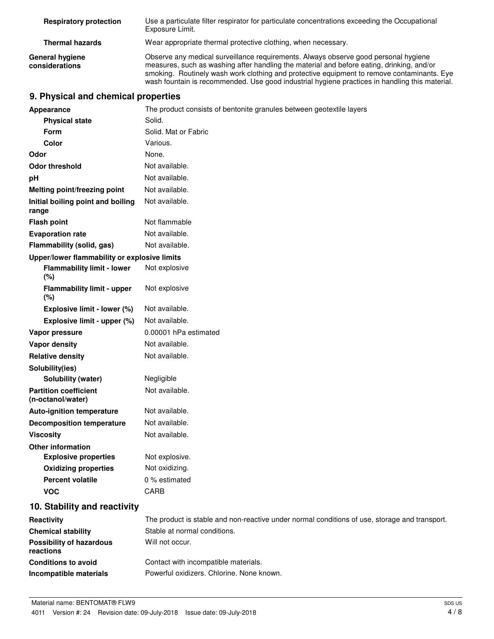| <b>Respiratory protection</b>            | Use a particulate filter respirator for particulate concentrations exceeding the Occupational<br>Exposure Limit.                                                                                                                                                                                                                                                                 |
|------------------------------------------|----------------------------------------------------------------------------------------------------------------------------------------------------------------------------------------------------------------------------------------------------------------------------------------------------------------------------------------------------------------------------------|
| <b>Thermal hazards</b>                   | Wear appropriate thermal protective clothing, when necessary.                                                                                                                                                                                                                                                                                                                    |
| <b>General hygiene</b><br>considerations | Observe any medical surveillance requirements. Always observe good personal hygiene<br>measures, such as washing after handling the material and before eating, drinking, and/or<br>smoking. Routinely wash work clothing and protective equipment to remove contaminants. Eye<br>wash fountain is recommended. Use good industrial hygiene practices in handling this material. |

# **9. Physical and chemical properties**

| <b>Appearance</b>                                 | The product consists of bentonite granules between geotextile layers                          |
|---------------------------------------------------|-----------------------------------------------------------------------------------------------|
| <b>Physical state</b>                             | Solid.                                                                                        |
| Form                                              | Solid. Mat or Fabric                                                                          |
| <b>Color</b>                                      | Various.                                                                                      |
| Odor                                              | None.                                                                                         |
| <b>Odor threshold</b>                             | Not available.                                                                                |
| рH                                                | Not available.                                                                                |
| <b>Melting point/freezing point</b>               | Not available.                                                                                |
| Initial boiling point and boiling<br>range        | Not available.                                                                                |
| <b>Flash point</b>                                | Not flammable                                                                                 |
| <b>Evaporation rate</b>                           | Not available.                                                                                |
| Flammability (solid, gas)                         | Not available.                                                                                |
| Upper/lower flammability or explosive limits      |                                                                                               |
| <b>Flammability limit - lower</b><br>(%)          | Not explosive                                                                                 |
| <b>Flammability limit - upper</b><br>(%)          | Not explosive                                                                                 |
| Explosive limit - lower (%)                       | Not available.                                                                                |
| Explosive limit - upper (%)                       | Not available.                                                                                |
| Vapor pressure                                    | 0.00001 hPa estimated                                                                         |
| <b>Vapor density</b>                              | Not available.                                                                                |
| <b>Relative density</b>                           | Not available.                                                                                |
| Solubility(ies)                                   |                                                                                               |
| Solubility (water)                                | Negligible                                                                                    |
| <b>Partition coefficient</b><br>(n-octanol/water) | Not available.                                                                                |
| <b>Auto-ignition temperature</b>                  | Not available.                                                                                |
| <b>Decomposition temperature</b>                  | Not available.                                                                                |
| <b>Viscosity</b>                                  | Not available.                                                                                |
| <b>Other information</b>                          |                                                                                               |
| <b>Explosive properties</b>                       | Not explosive.                                                                                |
| <b>Oxidizing properties</b>                       | Not oxidizing.                                                                                |
| <b>Percent volatile</b>                           | 0 % estimated                                                                                 |
| <b>VOC</b>                                        | CARB                                                                                          |
| 10. Stability and reactivity                      |                                                                                               |
| Reactivity                                        | The product is stable and non-reactive under normal conditions of use, storage and transport. |
| <b>Chemical stability</b>                         | Stable at normal conditions.                                                                  |
| <b>Possibility of hazardous</b><br>reactions      | Will not occur.                                                                               |
| <b>Conditions to avoid</b>                        | Contact with incompatible materials.                                                          |
| Incompatible materials                            | Powerful oxidizers. Chlorine. None known.                                                     |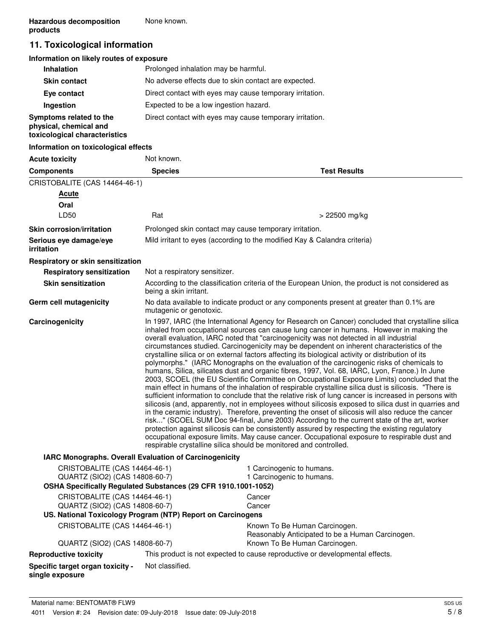# **11. Toxicological information**

# **Information on likely routes of exposure**

| <b>Inhalation</b>                                                                  | Prolonged inhalation may be harmful.                     |
|------------------------------------------------------------------------------------|----------------------------------------------------------|
| <b>Skin contact</b>                                                                | No adverse effects due to skin contact are expected.     |
| Eye contact                                                                        | Direct contact with eyes may cause temporary irritation. |
| Ingestion                                                                          | Expected to be a low ingestion hazard.                   |
| Symptoms related to the<br>physical, chemical and<br>toxicological characteristics | Direct contact with eyes may cause temporary irritation. |

# **Information on toxicological effects**

| <b>Acute toxicity</b>                                                                                                             | Not known.                                                                                                                                                                                                                                                                                                                                                                                                                                                                                                                                                                                                                                                                                                                                                                                                                                                                                                                                                                                                                                                                                                                                                                                                                                                                                                                                                                                                                                                                                                                                                                                         |                                                                                                                            |  |
|-----------------------------------------------------------------------------------------------------------------------------------|----------------------------------------------------------------------------------------------------------------------------------------------------------------------------------------------------------------------------------------------------------------------------------------------------------------------------------------------------------------------------------------------------------------------------------------------------------------------------------------------------------------------------------------------------------------------------------------------------------------------------------------------------------------------------------------------------------------------------------------------------------------------------------------------------------------------------------------------------------------------------------------------------------------------------------------------------------------------------------------------------------------------------------------------------------------------------------------------------------------------------------------------------------------------------------------------------------------------------------------------------------------------------------------------------------------------------------------------------------------------------------------------------------------------------------------------------------------------------------------------------------------------------------------------------------------------------------------------------|----------------------------------------------------------------------------------------------------------------------------|--|
| <b>Components</b>                                                                                                                 | <b>Species</b>                                                                                                                                                                                                                                                                                                                                                                                                                                                                                                                                                                                                                                                                                                                                                                                                                                                                                                                                                                                                                                                                                                                                                                                                                                                                                                                                                                                                                                                                                                                                                                                     | <b>Test Results</b>                                                                                                        |  |
| CRISTOBALITE (CAS 14464-46-1)                                                                                                     |                                                                                                                                                                                                                                                                                                                                                                                                                                                                                                                                                                                                                                                                                                                                                                                                                                                                                                                                                                                                                                                                                                                                                                                                                                                                                                                                                                                                                                                                                                                                                                                                    |                                                                                                                            |  |
| <b>Acute</b>                                                                                                                      |                                                                                                                                                                                                                                                                                                                                                                                                                                                                                                                                                                                                                                                                                                                                                                                                                                                                                                                                                                                                                                                                                                                                                                                                                                                                                                                                                                                                                                                                                                                                                                                                    |                                                                                                                            |  |
| Oral                                                                                                                              |                                                                                                                                                                                                                                                                                                                                                                                                                                                                                                                                                                                                                                                                                                                                                                                                                                                                                                                                                                                                                                                                                                                                                                                                                                                                                                                                                                                                                                                                                                                                                                                                    |                                                                                                                            |  |
| LD50                                                                                                                              | Rat                                                                                                                                                                                                                                                                                                                                                                                                                                                                                                                                                                                                                                                                                                                                                                                                                                                                                                                                                                                                                                                                                                                                                                                                                                                                                                                                                                                                                                                                                                                                                                                                | > 22500 mg/kg                                                                                                              |  |
| <b>Skin corrosion/irritation</b>                                                                                                  |                                                                                                                                                                                                                                                                                                                                                                                                                                                                                                                                                                                                                                                                                                                                                                                                                                                                                                                                                                                                                                                                                                                                                                                                                                                                                                                                                                                                                                                                                                                                                                                                    | Prolonged skin contact may cause temporary irritation.                                                                     |  |
| Serious eye damage/eye<br>irritation                                                                                              |                                                                                                                                                                                                                                                                                                                                                                                                                                                                                                                                                                                                                                                                                                                                                                                                                                                                                                                                                                                                                                                                                                                                                                                                                                                                                                                                                                                                                                                                                                                                                                                                    | Mild irritant to eyes (according to the modified Kay & Calandra criteria)                                                  |  |
| Respiratory or skin sensitization                                                                                                 |                                                                                                                                                                                                                                                                                                                                                                                                                                                                                                                                                                                                                                                                                                                                                                                                                                                                                                                                                                                                                                                                                                                                                                                                                                                                                                                                                                                                                                                                                                                                                                                                    |                                                                                                                            |  |
| <b>Respiratory sensitization</b>                                                                                                  | Not a respiratory sensitizer.                                                                                                                                                                                                                                                                                                                                                                                                                                                                                                                                                                                                                                                                                                                                                                                                                                                                                                                                                                                                                                                                                                                                                                                                                                                                                                                                                                                                                                                                                                                                                                      |                                                                                                                            |  |
| <b>Skin sensitization</b>                                                                                                         |                                                                                                                                                                                                                                                                                                                                                                                                                                                                                                                                                                                                                                                                                                                                                                                                                                                                                                                                                                                                                                                                                                                                                                                                                                                                                                                                                                                                                                                                                                                                                                                                    | According to the classification criteria of the European Union, the product is not considered as<br>being a skin irritant. |  |
| Germ cell mutagenicity                                                                                                            |                                                                                                                                                                                                                                                                                                                                                                                                                                                                                                                                                                                                                                                                                                                                                                                                                                                                                                                                                                                                                                                                                                                                                                                                                                                                                                                                                                                                                                                                                                                                                                                                    | No data available to indicate product or any components present at greater than 0.1% are<br>mutagenic or genotoxic.        |  |
| Carcinogenicity                                                                                                                   | In 1997, IARC (the International Agency for Research on Cancer) concluded that crystalline silica<br>inhaled from occupational sources can cause lung cancer in humans. However in making the<br>overall evaluation, IARC noted that "carcinogenicity was not detected in all industrial<br>circumstances studied. Carcinogenicity may be dependent on inherent characteristics of the<br>crystalline silica or on external factors affecting its biological activity or distribution of its<br>polymorphs." (IARC Monographs on the evaluation of the carcinogenic risks of chemicals to<br>humans, Silica, silicates dust and organic fibres, 1997, Vol. 68, IARC, Lyon, France.) In June<br>2003, SCOEL (the EU Scientific Committee on Occupational Exposure Limits) concluded that the<br>main effect in humans of the inhalation of respirable crystalline silica dust is silicosis. "There is<br>sufficient information to conclude that the relative risk of lung cancer is increased in persons with<br>silicosis (and, apparently, not in employees without silicosis exposed to silica dust in quarries and<br>in the ceramic industry). Therefore, preventing the onset of silicosis will also reduce the cancer<br>risk" (SCOEL SUM Doc 94-final, June 2003) According to the current state of the art, worker<br>protection against silicosis can be consistently assured by respecting the existing regulatory<br>occupational exposure limits. May cause cancer. Occupational exposure to respirable dust and<br>respirable crystalline silica should be monitored and controlled. |                                                                                                                            |  |
| IARC Monographs. Overall Evaluation of Carcinogenicity                                                                            |                                                                                                                                                                                                                                                                                                                                                                                                                                                                                                                                                                                                                                                                                                                                                                                                                                                                                                                                                                                                                                                                                                                                                                                                                                                                                                                                                                                                                                                                                                                                                                                                    |                                                                                                                            |  |
| CRISTOBALITE (CAS 14464-46-1)<br>QUARTZ (SIO2) (CAS 14808-60-7)<br>OSHA Specifically Regulated Substances (29 CFR 1910.1001-1052) |                                                                                                                                                                                                                                                                                                                                                                                                                                                                                                                                                                                                                                                                                                                                                                                                                                                                                                                                                                                                                                                                                                                                                                                                                                                                                                                                                                                                                                                                                                                                                                                                    | 1 Carcinogenic to humans.<br>1 Carcinogenic to humans.                                                                     |  |
| CRISTOBALITE (CAS 14464-46-1)                                                                                                     |                                                                                                                                                                                                                                                                                                                                                                                                                                                                                                                                                                                                                                                                                                                                                                                                                                                                                                                                                                                                                                                                                                                                                                                                                                                                                                                                                                                                                                                                                                                                                                                                    | Cancer                                                                                                                     |  |
| QUARTZ (SIO2) (CAS 14808-60-7)                                                                                                    |                                                                                                                                                                                                                                                                                                                                                                                                                                                                                                                                                                                                                                                                                                                                                                                                                                                                                                                                                                                                                                                                                                                                                                                                                                                                                                                                                                                                                                                                                                                                                                                                    | Cancer                                                                                                                     |  |
| US. National Toxicology Program (NTP) Report on Carcinogens                                                                       |                                                                                                                                                                                                                                                                                                                                                                                                                                                                                                                                                                                                                                                                                                                                                                                                                                                                                                                                                                                                                                                                                                                                                                                                                                                                                                                                                                                                                                                                                                                                                                                                    |                                                                                                                            |  |
| CRISTOBALITE (CAS 14464-46-1)                                                                                                     |                                                                                                                                                                                                                                                                                                                                                                                                                                                                                                                                                                                                                                                                                                                                                                                                                                                                                                                                                                                                                                                                                                                                                                                                                                                                                                                                                                                                                                                                                                                                                                                                    | Known To Be Human Carcinogen.<br>Reasonably Anticipated to be a Human Carcinogen.                                          |  |
| QUARTZ (SIO2) (CAS 14808-60-7)                                                                                                    |                                                                                                                                                                                                                                                                                                                                                                                                                                                                                                                                                                                                                                                                                                                                                                                                                                                                                                                                                                                                                                                                                                                                                                                                                                                                                                                                                                                                                                                                                                                                                                                                    | Known To Be Human Carcinogen.                                                                                              |  |
| <b>Reproductive toxicity</b>                                                                                                      |                                                                                                                                                                                                                                                                                                                                                                                                                                                                                                                                                                                                                                                                                                                                                                                                                                                                                                                                                                                                                                                                                                                                                                                                                                                                                                                                                                                                                                                                                                                                                                                                    | This product is not expected to cause reproductive or developmental effects.                                               |  |
| Specific target organ toxicity -<br>single exposure                                                                               | Not classified.                                                                                                                                                                                                                                                                                                                                                                                                                                                                                                                                                                                                                                                                                                                                                                                                                                                                                                                                                                                                                                                                                                                                                                                                                                                                                                                                                                                                                                                                                                                                                                                    |                                                                                                                            |  |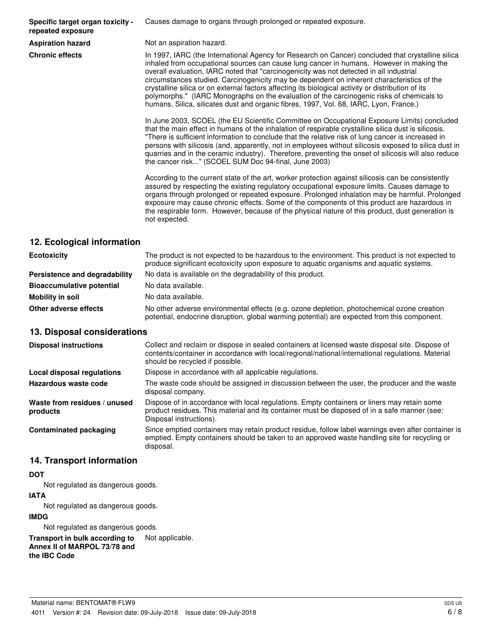**Specific target organ toxicity repeated exposure**

Causes damage to organs through prolonged or repeated exposure.

**Aspiration hazard** Not an aspiration hazard.

**Chronic effects** In 1997, IARC (the International Agency for Research on Cancer) concluded that crystalline silica inhaled from occupational sources can cause lung cancer in humans. However in making the overall evaluation, IARC noted that "carcinogenicity was not detected in all industrial circumstances studied. Carcinogenicity may be dependent on inherent characteristics of the crystalline silica or on external factors affecting its biological activity or distribution of its polymorphs." (IARC Monographs on the evaluation of the carcinogenic risks of chemicals to humans, Silica, silicates dust and organic fibres, 1997, Vol. 68, IARC, Lyon, France.)

> In June 2003, SCOEL (the EU Scientific Committee on Occupational Exposure Limits) concluded that the main effect in humans of the inhalation of respirable crystalline silica dust is silicosis. "There is sufficient information to conclude that the relative risk of lung cancer is increased in persons with silicosis (and, apparently, not in employees without silicosis exposed to silica dust in quarries and in the ceramic industry). Therefore, preventing the onset of silicosis will also reduce the cancer risk..." (SCOEL SUM Doc 94-final, June 2003)

> According to the current state of the art, worker protection against silicosis can be consistently assured by respecting the existing regulatory occupational exposure limits. Causes damage to organs through prolonged or repeated exposure. Prolonged inhalation may be harmful. Prolonged exposure may cause chronic effects. Some of the components of this product are hazardous in the respirable form. However, because of the physical nature of this product, dust generation is not expected.

# **12. Ecological information**

| <b>Ecotoxicity</b>               | The product is not expected to be hazardous to the environment. This product is not expected to<br>produce significant ecotoxicity upon exposure to aquatic organisms and aquatic systems. |  |
|----------------------------------|--------------------------------------------------------------------------------------------------------------------------------------------------------------------------------------------|--|
| Persistence and degradability    | No data is available on the degradability of this product.                                                                                                                                 |  |
| <b>Bioaccumulative potential</b> | No data available.                                                                                                                                                                         |  |
| Mobility in soil                 | No data available.                                                                                                                                                                         |  |
| Other adverse effects            | No other adverse environmental effects (e.g. ozone depletion, photochemical ozone creation<br>potential, endocrine disruption, global warming potential) are expected from this component. |  |

# **13. Disposal considerations**

| <b>Disposal instructions</b>             | Collect and reclaim or dispose in sealed containers at licensed waste disposal site. Dispose of<br>contents/container in accordance with local/regional/national/international regulations. Material<br>should be recycled if possible. |
|------------------------------------------|-----------------------------------------------------------------------------------------------------------------------------------------------------------------------------------------------------------------------------------------|
| Local disposal regulations               | Dispose in accordance with all applicable regulations.                                                                                                                                                                                  |
| Hazardous waste code                     | The waste code should be assigned in discussion between the user, the producer and the waste<br>disposal company.                                                                                                                       |
| Waste from residues / unused<br>products | Dispose of in accordance with local regulations. Empty containers or liners may retain some<br>product residues. This material and its container must be disposed of in a safe manner (see:<br>Disposal instructions).                  |
| <b>Contaminated packaging</b>            | Since emptied containers may retain product residue, follow label warnings even after container is<br>emptied. Empty containers should be taken to an approved waste handling site for recycling or<br>disposal.                        |

# **14. Transport information**

# **DOT**

Not regulated as dangerous goods.

#### **IATA**

Not regulated as dangerous goods.

# **IMDG**

Not regulated as dangerous goods.

**Transport in bulk according to** Not applicable. **Annex II of MARPOL 73/78 and the IBC Code**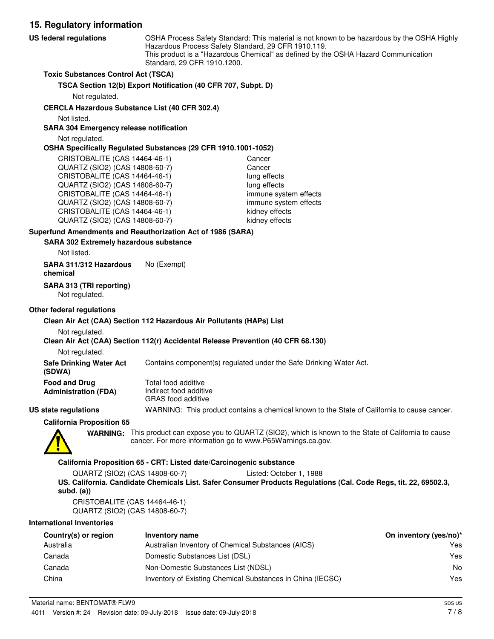**15. Regulatory information** OSHA Process Safety Standard: This material is not known to be hazardous by the OSHA Highly Hazardous Process Safety Standard, 29 CFR 1910.119. This product is a "Hazardous Chemical" as defined by the OSHA Hazard Communication Standard, 29 CFR 1910.1200. **US federal regulations Toxic Substances Control Act (TSCA) TSCA Section 12(b) Export Notification (40 CFR 707, Subpt. D)** Not regulated. **CERCLA Hazardous Substance List (40 CFR 302.4)** Not listed. **SARA 304 Emergency release notification** Not regulated. **OSHA Specifically Regulated Substances (29 CFR 1910.1001-1052)** CRISTOBALITE (CAS 14464-46-1) Cancer QUARTZ (SIO2) (CAS 14808-60-7) Cancer CRISTOBALITE (CAS 14464-46-1) lung effects QUARTZ (SIO2) (CAS 14808-60-7) lung effects CRISTOBALITE (CAS 14464-46-1) immune system effects QUARTZ (SIO2) (CAS 14808-60-7) immune system effects CRISTOBALITE (CAS 14464-46-1) kidney effects QUARTZ (SIO2) (CAS 14808-60-7) kidney effects **SARA 302 Extremely hazardous substance Superfund Amendments and Reauthorization Act of 1986 (SARA)** Not listed. **SARA 311/312 Hazardous** No (Exempt) **chemical SARA 313 (TRI reporting)** Not regulated.

# **Other federal regulations**

#### **Clean Air Act (CAA) Section 112 Hazardous Air Pollutants (HAPs) List**

#### Not regulated.

#### **Clean Air Act (CAA) Section 112(r) Accidental Release Prevention (40 CFR 68.130)**

tal food additive

Not regulated.

**Safe Drinking Water Act** Contains component(s) regulated under the Safe Drinking Water Act. **(SDWA)**

| <b>Food and Drug</b>        | To  |
|-----------------------------|-----|
| <b>Administration (FDA)</b> | Inc |
|                             |     |

lirect food additive GRAS food additive

# **US state regulations** WARNING: This product contains a chemical known to the State of California to cause cancer.

**California Proposition 65**



WARNING: This product can expose you to QUARTZ (SIO2), which is known to the State of California to cause cancer. For more information go to www.P65Warnings.ca.gov.

#### **California Proposition 65 - CRT: Listed date/Carcinogenic substance**

QUARTZ (SIO2) (CAS 14808-60-7) Listed: October 1, 1988 **US. California. Candidate Chemicals List. Safer Consumer Products Regulations (Cal. Code Regs, tit. 22, 69502.3, subd. (a))**

CRISTOBALITE (CAS 14464-46-1) QUARTZ (SIO2) (CAS 14808-60-7)

#### **International Inventories**

| Country(s) or region | Inventory name                                             | On inventory (yes/no)* |
|----------------------|------------------------------------------------------------|------------------------|
| Australia            | Australian Inventory of Chemical Substances (AICS)         | Yes                    |
| Canada               | Domestic Substances List (DSL)                             | Yes                    |
| Canada               | Non-Domestic Substances List (NDSL)                        | No                     |
| China                | Inventory of Existing Chemical Substances in China (IECSC) | Yes                    |